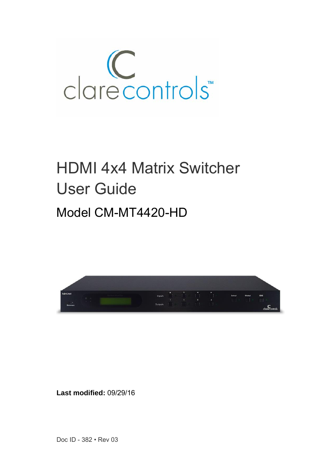

# HDMI 4x4 Matrix Switcher User Guide Model CM-MT4420-HD



**Last modified:** 09/29/16

Doc ID - 382 • Rev 03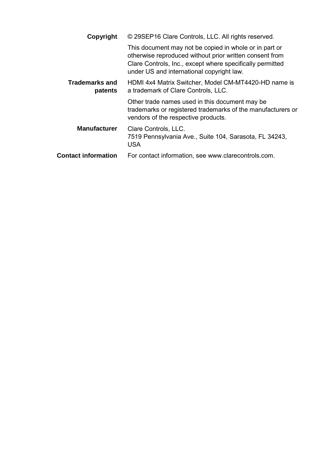| Copyright                        | © 29SEP16 Clare Controls, LLC. All rights reserved.                                                                                                                                                                         |  |
|----------------------------------|-----------------------------------------------------------------------------------------------------------------------------------------------------------------------------------------------------------------------------|--|
|                                  | This document may not be copied in whole or in part or<br>otherwise reproduced without prior written consent from<br>Clare Controls, Inc., except where specifically permitted<br>under US and international copyright law. |  |
| <b>Trademarks and</b><br>patents | HDMI 4x4 Matrix Switcher, Model CM-MT4420-HD name is<br>a trademark of Clare Controls, LLC.                                                                                                                                 |  |
|                                  | Other trade names used in this document may be<br>trademarks or registered trademarks of the manufacturers or<br>vendors of the respective products.                                                                        |  |
| <b>Manufacturer</b>              | Clare Controls, LLC.<br>7519 Pennsylvania Ave., Suite 104, Sarasota, FL 34243,<br>USA                                                                                                                                       |  |
| <b>Contact information</b>       | For contact information, see www.clarecontrols.com.                                                                                                                                                                         |  |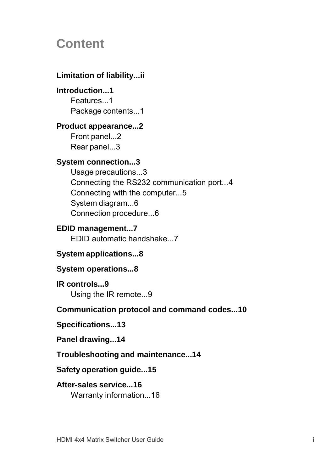# **Content**

## **Limitation of liability...ii**

## **Introduction...1**

Features<sub>1</sub> Package contents...1

### **Product appearance...2**

Front panel...2 Rear panel...3

## **System connection...3**

Usage precautions...3 Connecting the RS232 communication port...4 Connecting with the computer...5 System diagram...6 Connection procedure...6

## **EDID management...7**

EDID automatic handshake...7

## **System applications...8**

## **System operations...8**

**IR controls...9** Using the IR remote...9

## **Communication protocol and command codes...10**

### **Specifications...13**

### **Panel drawing...14**

## **Troubleshooting and maintenance...14**

### **Safety operation guide...15**

## **After-sales service...16**

Warranty information...16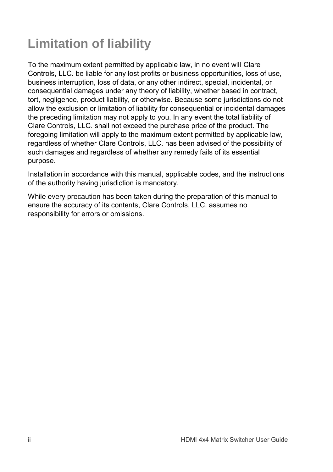# **Limitation of liability**

To the maximum extent permitted by applicable law, in no event will Clare Controls, LLC. be liable for any lost profits or business opportunities, loss of use, business interruption, loss of data, or any other indirect, special, incidental, or consequential damages under any theory of liability, whether based in contract, tort, negligence, product liability, or otherwise. Because some jurisdictions do not allow the exclusion or limitation of liability for consequential or incidental damages the preceding limitation may not apply to you. In any event the total liability of Clare Controls, LLC. shall not exceed the purchase price of the product. The foregoing limitation will apply to the maximum extent permitted by applicable law, regardless of whether Clare Controls, LLC. has been advised of the possibility of such damages and regardless of whether any remedy fails of its essential purpose.

Installation in accordance with this manual, applicable codes, and the instructions of the authority having jurisdiction is mandatory.

While every precaution has been taken during the preparation of this manual to ensure the accuracy of its contents, Clare Controls, LLC. assumes no responsibility for errors or omissions.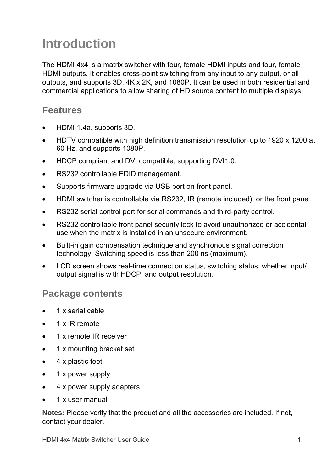# **Introduction**

The HDMI 4x4 is a matrix switcher with four, female HDMI inputs and four, female HDMI outputs. It enables cross-point switching from any input to any output, or all outputs, and supports 3D, 4K x 2K, and 1080P. It can be used in both residential and commercial applications to allow sharing of HD source content to multiple displays.

## **Features**

- HDMI 1.4a, supports 3D.
- HDTV compatible with high definition transmission resolution up to 1920 x 1200 at 60 Hz, and supports 1080P.
- HDCP compliant and DVI compatible, supporting DVI1.0.
- RS232 controllable EDID management.
- Supports firmware upgrade via USB port on front panel.
- HDMI switcher is controllable via RS232, IR (remote included), or the front panel.
- RS232 serial control port for serial commands and third-party control.
- RS232 controllable front panel security lock to avoid unauthorized or accidental use when the matrix is installed in an unsecure environment.
- Built-in gain compensation technique and synchronous signal correction technology. Switching speed is less than 200 ns (maximum).
- LCD screen shows real-time connection status, switching status, whether input/ output signal is with HDCP, and output resolution.

## **Package contents**

- 1 x serial cable
- 1 x IR remote
- 1 x remote IR receiver
- 1 x mounting bracket set
- 4 x plastic feet
- 1 x power supply
- 4 x power supply adapters
- 1 x user manual

**Notes:** Please verify that the product and all the accessories are included. If not, contact your dealer.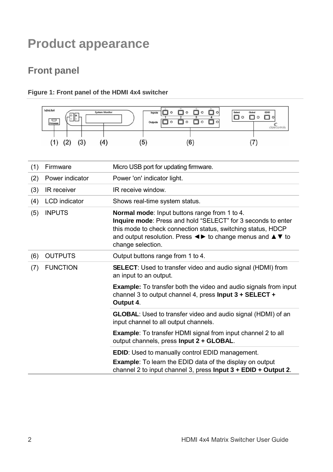# <span id="page-7-1"></span>**Product appearance**

## <span id="page-7-0"></span>**Front panel**

### **Figure 1: Front panel of the HDMI 4x4 switcher**



| (1) | Firmware             | Micro USB port for updating firmware.                                                                                                                                                                                                                                                                                                      |  |
|-----|----------------------|--------------------------------------------------------------------------------------------------------------------------------------------------------------------------------------------------------------------------------------------------------------------------------------------------------------------------------------------|--|
| (2) | Power indicator      | Power 'on' indicator light.                                                                                                                                                                                                                                                                                                                |  |
| (3) | IR receiver          | IR receive window                                                                                                                                                                                                                                                                                                                          |  |
| (4) | <b>LCD</b> indicator | Shows real-time system status.                                                                                                                                                                                                                                                                                                             |  |
| (5) | <b>INPUTS</b>        | <b>Normal mode:</b> Input buttons range from 1 to 4.<br>Inquire mode: Press and hold "SELECT" for 3 seconds to enter<br>this mode to check connection status, switching status, HDCP<br>and output resolution. Press $\blacktriangle \blacktriangleright$ to change menus and $\blacktriangle \blacktriangleright$ to<br>change selection. |  |
| (6) | <b>OUTPUTS</b>       | Output buttons range from 1 to 4.                                                                                                                                                                                                                                                                                                          |  |
| (7) | <b>FUNCTION</b>      | <b>SELECT:</b> Used to transfer video and audio signal (HDMI) from<br>an input to an output.                                                                                                                                                                                                                                               |  |
|     |                      | <b>Example:</b> To transfer both the video and audio signals from input<br>channel 3 to output channel 4, press Input $3 + SELECT +$<br>Output 4.                                                                                                                                                                                          |  |
|     |                      | <b>GLOBAL:</b> Used to transfer video and audio signal (HDMI) of an<br>input channel to all output channels.                                                                                                                                                                                                                               |  |
|     |                      | <b>Example:</b> To transfer HDMI signal from input channel 2 to all<br>output channels, press Input 2 + GLOBAL.                                                                                                                                                                                                                            |  |
|     |                      | EDID: Used to manually control EDID management.                                                                                                                                                                                                                                                                                            |  |
|     |                      | <b>Example:</b> To learn the EDID data of the display on output<br>channel 2 to input channel 3, press Input $3 + E$ DID + Output 2.                                                                                                                                                                                                       |  |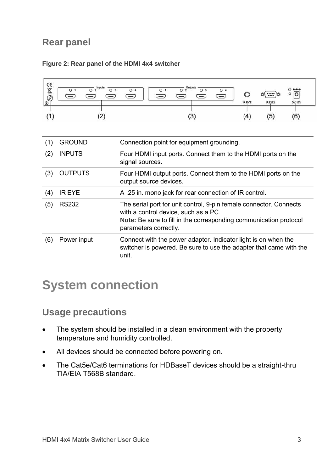## **Rear panel**

| $\epsilon$<br><b>AB</b><br>$\Theta$ | Inputs<br>O <sub>2</sub><br>O <sub>3</sub><br>O <sub>1</sub><br>(2)                              | $\overline{O}$ 2<br>Outputs<br>O <sub>3</sub><br>O <sub>4</sub><br>O <sub>1</sub><br>O <sub>4</sub><br>lo<br><br>l —<br>IR EYE<br><b>RS232</b><br>DV, 12V<br>(3)<br>(4)<br>(5)<br>(6)                    |  |  |
|-------------------------------------|--------------------------------------------------------------------------------------------------|----------------------------------------------------------------------------------------------------------------------------------------------------------------------------------------------------------|--|--|
| (1)                                 | <b>GROUND</b>                                                                                    | Connection point for equipment grounding.                                                                                                                                                                |  |  |
| (2)                                 | <b>INPUTS</b><br>Four HDMI input ports. Connect them to the HDMI ports on the<br>signal sources. |                                                                                                                                                                                                          |  |  |
| (3)                                 | <b>OUTPUTS</b>                                                                                   | Four HDMI output ports. Connect them to the HDMI ports on the<br>output source devices.                                                                                                                  |  |  |
| (4)                                 | <b>IR EYE</b>                                                                                    | A .25 in. mono jack for rear connection of IR control.                                                                                                                                                   |  |  |
| (5)                                 | <b>RS232</b>                                                                                     | The serial port for unit control, 9-pin female connector. Connects<br>with a control device, such as a PC.<br>Note: Be sure to fill in the corresponding communication protocol<br>parameters correctly. |  |  |
| (6)                                 | Power input                                                                                      | Connect with the power adaptor. Indicator light is on when the<br>switcher is powered. Be sure to use the adapter that came with the<br>unit.                                                            |  |  |

#### **Figure 2: Rear panel of the HDMI 4x4 switcher**

# **System connection**

## **Usage precautions**

- The system should be installed in a clean environment with the property temperature and humidity controlled.
- All devices should be connected before powering on.
- The Cat5e/Cat6 terminations for HDBaseT devices should be a straight-thru TIA/EIA T568B standard.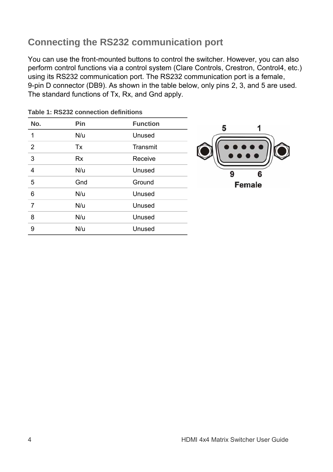# **Connecting the RS232 communication port**

You can use the front-mounted buttons to control the switcher. However, you can also perform control functions via a control system (Clare Controls, Crestron, Control4, etc.) using its RS232 communication port. The RS232 communication port is a female, 9-pin D connector (DB9). As shown in the table below, only pins 2, 3, and 5 are used. The standard functions of Tx, Rx, and Gnd apply.

| No. | Pin       | <b>Function</b> |
|-----|-----------|-----------------|
| 1   | N/u       | Unused          |
| 2   | Tx        | Transmit        |
| 3   | <b>Rx</b> | Receive         |
| 4   | N/u       | Unused          |
| 5   | Gnd       | Ground          |
| 6   | N/u       | Unused          |
| 7   | N/u       | Unused          |
| 8   | N/u       | Unused          |
| 9   | N/u       | Unused          |
|     |           |                 |

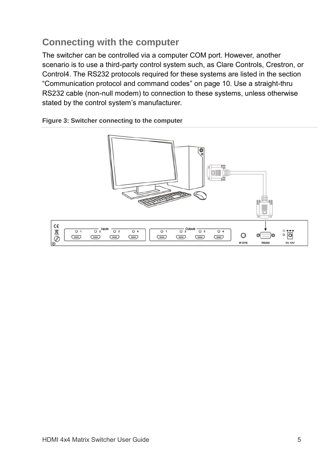# **Connecting with the computer**

The switcher can be controlled via a computer COM port. However, another scenario is to use a third-party control system such, as Clare Controls, Crestron, or Control4. The RS232 protocols required for these systems are listed in the section ["Communication protocol and command codes"](#page-15-0) on page [10.](#page-15-0) Use a straight-thru RS232 cable (non-null modem) to connection to these systems, unless otherwise stated by the control system's manufacturer.

#### **Figure 3: Switcher connecting to the computer**

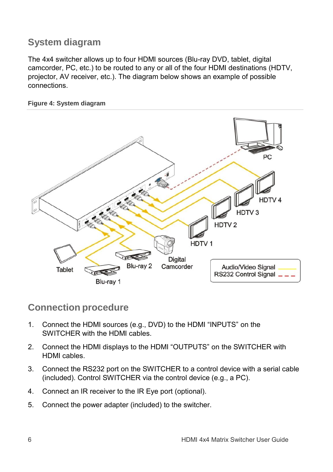## **System diagram**

The 4x4 switcher allows up to four HDMI sources (Blu-ray DVD, tablet, digital camcorder, PC, etc.) to be routed to any or all of the four HDMI destinations (HDTV, projector, AV receiver, etc.). The diagram below shows an example of possible connections.

#### **Figure 4: System diagram**



## **Connection procedure**

- 1. Connect the HDMI sources (e.g., DVD) to the HDMI "INPUTS" on the SWITCHER with the HDMI cables.
- 2. Connect the HDMI displays to the HDMI "OUTPUTS" on the SWITCHER with HDMI cables.
- 3. Connect the RS232 port on the SWITCHER to a control device with a serial cable (included). Control SWITCHER via the control device (e.g., a PC).
- 4. Connect an IR receiver to the IR Eye port (optional).
- 5. Connect the power adapter (included) to the switcher.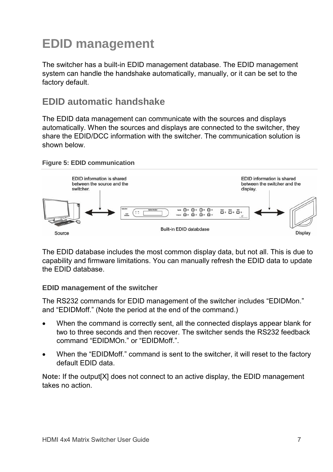# **EDID management**

The switcher has a built-in EDID management database. The EDID management system can handle the handshake automatically, manually, or it can be set to the factory default.

## **EDID automatic handshake**

The EDID data management can communicate with the sources and displays automatically. When the sources and displays are connected to the switcher, they share the EDID/DCC information with the switcher. The communication solution is shown below.

#### **Figure 5: EDID communication**



The EDID database includes the most common display data, but not all. This is due to capability and firmware limitations. You can manually refresh the EDID data to update the EDID database.

### **EDID management of the switcher**

The RS232 commands for EDID management of the switcher includes "EDIDMon." and "EDIDMoff." (Note the period at the end of the command.)

- When the command is correctly sent, all the connected displays appear blank for two to three seconds and then recover. The switcher sends the RS232 feedback command "EDIDMOn." or "EDIDMoff.".
- When the "EDIDMoff." command is sent to the switcher, it will reset to the factory default EDID data.

**Note:** If the output[X] does not connect to an active display, the EDID management takes no action.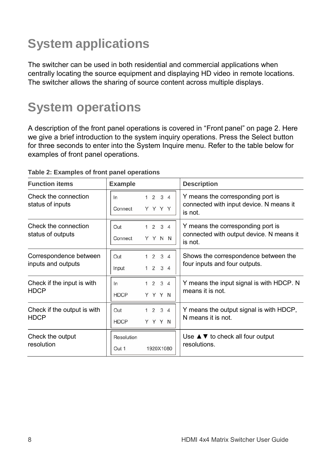# **System applications**

The switcher can be used in both residential and commercial applications when centrally locating the source equipment and displaying HD video in remote locations. The switcher allows the sharing of source content across multiple displays.

# **System operations**

A description of the front panel operations is covered in "Front [panel"](#page-7-0) on page [2.](#page-7-1) Here we give a brief introduction to the system inquiry operations. Press the Select button for three seconds to enter into the System Inquire menu. Refer to the table below for examples of front panel operations.

| <b>Function items</b>                                                     | <b>Example</b>                                    | <b>Description</b>                                                                       |  |
|---------------------------------------------------------------------------|---------------------------------------------------|------------------------------------------------------------------------------------------|--|
| Check the connection<br>1234<br>ln<br>status of inputs<br>YYYY<br>Connect |                                                   | Y means the corresponding port is<br>connected with input device. N means it<br>is not.  |  |
| Check the connection<br>status of outputs                                 | 1234<br>Out<br>YYNN<br>Connect                    | Y means the corresponding port is<br>connected with output device. N means it<br>is not. |  |
| Correspondence between<br>inputs and outputs                              | $2 \t3 \t4$<br>Out<br>1234<br>Input               | Shows the correspondence between the<br>four inputs and four outputs.                    |  |
| Check if the input is with<br><b>HDCP</b>                                 | $2 \t3 \t4$<br>ln<br>1<br>YYYN<br><b>HDCP</b>     | Y means the input signal is with HDCP. N<br>means it is not.                             |  |
| Check if the output is with<br><b>HDCP</b>                                | $2 \quad 3 \quad 4$<br>Out<br>YYYN<br><b>HDCP</b> | Y means the output signal is with HDCP,<br>N means it is not.                            |  |
| Check the output<br>resolution                                            | Resolution<br>1920X1080<br>Out 1                  | Use $\triangle \blacktriangledown$ to check all four output<br>resolutions.              |  |

#### **Table 2: Examples of front panel operations**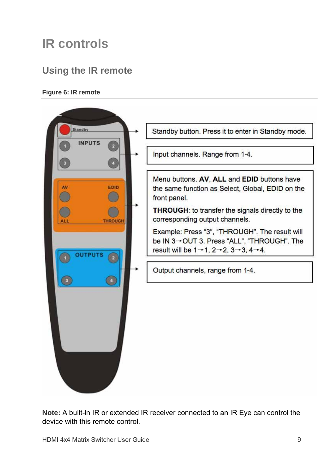# **IR controls**

## **Using the IR remote**

#### **Figure 6: IR remote**



**Note:** A built-in IR or extended IR receiver connected to an IR Eye can control the device with this remote control.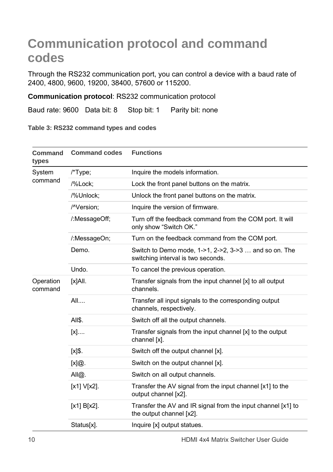# <span id="page-15-0"></span>**Communication protocol and command codes**

Through the RS232 communication port, you can control a device with a baud rate of 2400, 4800, 9600, 19200, 38400, 57600 or 115200.

**Communication protocol**: RS232 communication protocol

Baud rate: 9600 Data bit: 8 Stop bit: 1 Parity bit: none

**Table 3: RS232 command types and codes**

| <b>Command</b><br>types | <b>Command codes</b> | <b>Functions</b>                                                                            |
|-------------------------|----------------------|---------------------------------------------------------------------------------------------|
| System<br>command       | /*Type;              | Inquire the models information.                                                             |
|                         | /%Lock;              | Lock the front panel buttons on the matrix.                                                 |
|                         | /%Unlock;            | Unlock the front panel buttons on the matrix.                                               |
|                         | /^Version:           | Inquire the version of firmware.                                                            |
|                         | /:MessageOff;        | Turn off the feedback command from the COM port. It will<br>only show "Switch OK."          |
|                         | /:MessageOn;         | Turn on the feedback command from the COM port.                                             |
|                         | Demo                 | Switch to Demo mode, 1->1, 2->2, 3->3  and so on. The<br>switching interval is two seconds. |
|                         | Undo.                | To cancel the previous operation.                                                           |
| Operation<br>command    | [x]All.              | Transfer signals from the input channel [x] to all output<br>channels.                      |
|                         | All                  | Transfer all input signals to the corresponding output<br>channels, respectively.           |
|                         | All\$.               | Switch off all the output channels.                                                         |
|                         | $[x]$                | Transfer signals from the input channel [x] to the output<br>channel [x].                   |
|                         | [x]\$.               | Switch off the output channel [x].                                                          |
|                         | [x]@.                | Switch on the output channel [x].                                                           |
|                         | All@.                | Switch on all output channels.                                                              |
|                         | $[x1] V[x2]$ .       | Transfer the AV signal from the input channel [x1] to the<br>output channel [x2].           |
|                         | $[x1] B[x2]$ .       | Transfer the AV and IR signal from the input channel [x1] to<br>the output channel [x2].    |
|                         | Status[x].           | Inquire [x] output statues.                                                                 |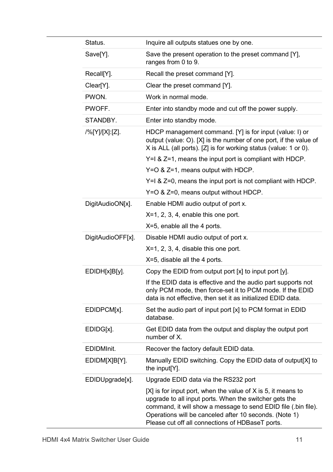|  | Status.           | Inquire all outputs statues one by one.                                                                                                                                                                                                                                                                  |
|--|-------------------|----------------------------------------------------------------------------------------------------------------------------------------------------------------------------------------------------------------------------------------------------------------------------------------------------------|
|  | Save[Y].          | Save the present operation to the preset command [Y],<br>ranges from 0 to 9.                                                                                                                                                                                                                             |
|  | Recall[Y].        | Recall the preset command [Y].                                                                                                                                                                                                                                                                           |
|  | Clear[Y].         | Clear the preset command [Y].                                                                                                                                                                                                                                                                            |
|  | PWON.             | Work in normal mode.                                                                                                                                                                                                                                                                                     |
|  | PWOFF.            | Enter into standby mode and cut off the power supply.                                                                                                                                                                                                                                                    |
|  | STANDBY.          | Enter into standby mode.                                                                                                                                                                                                                                                                                 |
|  | /%[Y]/[X]:[Z].    | HDCP management command. [Y] is for input (value: I) or<br>output (value: O). [X] is the number of one port, if the value of<br>X is ALL (all ports). [Z] is for working status (value: 1 or 0).                                                                                                         |
|  |                   | Y=I & Z=1, means the input port is compliant with HDCP.                                                                                                                                                                                                                                                  |
|  |                   | Y=O & Z=1, means output with HDCP.                                                                                                                                                                                                                                                                       |
|  |                   | Y=I & Z=0, means the input port is not compliant with HDCP.                                                                                                                                                                                                                                              |
|  |                   | Y=O & Z=0, means output without HDCP.                                                                                                                                                                                                                                                                    |
|  | DigitAudioON[x].  | Enable HDMI audio output of port x.                                                                                                                                                                                                                                                                      |
|  |                   | $X=1$ , 2, 3, 4, enable this one port.                                                                                                                                                                                                                                                                   |
|  |                   | X=5, enable all the 4 ports.                                                                                                                                                                                                                                                                             |
|  | DigitAudioOFF[x]. | Disable HDMI audio output of port x.                                                                                                                                                                                                                                                                     |
|  |                   | $X=1$ , 2, 3, 4, disable this one port.                                                                                                                                                                                                                                                                  |
|  |                   | X=5, disable all the 4 ports.                                                                                                                                                                                                                                                                            |
|  | EDIDH[x]B[y].     | Copy the EDID from output port [x] to input port [y].                                                                                                                                                                                                                                                    |
|  |                   | If the EDID data is effective and the audio part supports not<br>only PCM mode, then force-set it to PCM mode. If the EDID<br>data is not effective, then set it as initialized EDID data.                                                                                                               |
|  | EDIDPCM[x].       | Set the audio part of input port [x] to PCM format in EDID<br>database.                                                                                                                                                                                                                                  |
|  | EDIDG[x].         | Get EDID data from the output and display the output port<br>number of X.                                                                                                                                                                                                                                |
|  | EDIDMInit.        | Recover the factory default EDID data.                                                                                                                                                                                                                                                                   |
|  | EDIDM[X]B[Y].     | Manually EDID switching. Copy the EDID data of output[X] to<br>the input[Y].                                                                                                                                                                                                                             |
|  | EDIDUpgrade[x].   | Upgrade EDID data via the RS232 port                                                                                                                                                                                                                                                                     |
|  |                   | $[X]$ is for input port, when the value of X is 5, it means to<br>upgrade to all input ports. When the switcher gets the<br>command, it will show a message to send EDID file (.bin file).<br>Operations will be canceled after 10 seconds. (Note 1)<br>Please cut off all connections of HDBaseT ports. |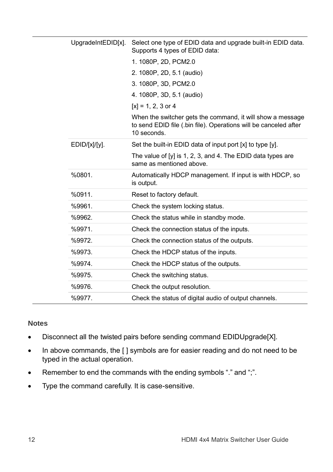|  | UpgradeIntEDID[x]. | Select one type of EDID data and upgrade built-in EDID data.<br>Supports 4 types of EDID data:                                                |  |
|--|--------------------|-----------------------------------------------------------------------------------------------------------------------------------------------|--|
|  |                    | 1.1080P, 2D, PCM2.0                                                                                                                           |  |
|  |                    | 2. 1080P, 2D, 5.1 (audio)                                                                                                                     |  |
|  |                    | 3. 1080P, 3D, PCM2.0                                                                                                                          |  |
|  |                    | 4. 1080P, 3D, 5.1 (audio)                                                                                                                     |  |
|  |                    | $[x] = 1, 2, 3$ or 4                                                                                                                          |  |
|  |                    | When the switcher gets the command, it will show a message<br>to send EDID file (.bin file). Operations will be canceled after<br>10 seconds. |  |
|  | EDID/[x]/[y].      | Set the built-in EDID data of input port [x] to type [y].                                                                                     |  |
|  |                    | The value of [y] is 1, 2, 3, and 4. The EDID data types are<br>same as mentioned above.                                                       |  |
|  | %0801.             | Automatically HDCP management. If input is with HDCP, so<br>is output.                                                                        |  |
|  | %0911              | Reset to factory default.                                                                                                                     |  |
|  | %9961.             | Check the system locking status.                                                                                                              |  |
|  | %9962.             | Check the status while in standby mode.                                                                                                       |  |
|  | %9971.             | Check the connection status of the inputs.                                                                                                    |  |
|  | %9972.             | Check the connection status of the outputs.                                                                                                   |  |
|  | %9973.             | Check the HDCP status of the inputs.                                                                                                          |  |
|  | %9974.             | Check the HDCP status of the outputs.                                                                                                         |  |
|  | %9975.             | Check the switching status.                                                                                                                   |  |
|  | %9976.             | Check the output resolution.                                                                                                                  |  |
|  | %9977.             | Check the status of digital audio of output channels.                                                                                         |  |

#### **Notes**

- Disconnect all the twisted pairs before sending command EDIDUpgrade[X].
- In above commands, the [ ] symbols are for easier reading and do not need to be typed in the actual operation.
- Remember to end the commands with the ending symbols "." and ";".
- Type the command carefully. It is case-sensitive.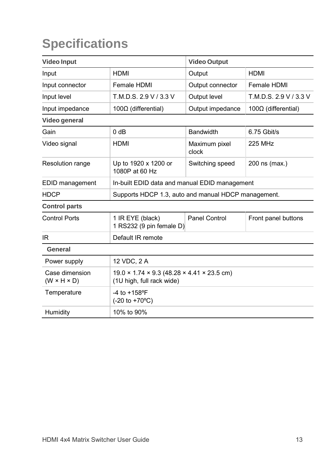# **Specifications**

| <b>Video Input</b>                        |                                                                                                   | <b>Video Output</b>                           |                        |  |
|-------------------------------------------|---------------------------------------------------------------------------------------------------|-----------------------------------------------|------------------------|--|
| Input                                     | <b>HDMI</b>                                                                                       | Output                                        | <b>HDMI</b>            |  |
| Input connector                           | Female HDMI                                                                                       | Output connector                              | Female HDMI            |  |
| Input level                               | T.M.D.S. 2.9 V / 3.3 V                                                                            | Output level                                  | T.M.D.S. 2.9 V / 3.3 V |  |
| Input impedance                           | 100 $\Omega$ (differential)                                                                       | Output impedance                              | $100Ω$ (differential)  |  |
| Video general                             |                                                                                                   |                                               |                        |  |
| Gain                                      | 0 dB                                                                                              | <b>Bandwidth</b>                              | 6.75 Gbit/s            |  |
| Video signal                              | HDMI                                                                                              | Maximum pixel<br>clock                        | <b>225 MHz</b>         |  |
| Resolution range                          | Up to 1920 x 1200 or<br>1080P at 60 Hz                                                            | Switching speed                               | 200 ns (max.)          |  |
| EDID management                           |                                                                                                   | In-built EDID data and manual EDID management |                        |  |
| <b>HDCP</b>                               | Supports HDCP 1.3, auto and manual HDCP management.                                               |                                               |                        |  |
| <b>Control parts</b>                      |                                                                                                   |                                               |                        |  |
| <b>Control Ports</b>                      | 1 IR EYE (black)<br>1 RS232 (9 pin female D)                                                      | Panel Control                                 | Front panel buttons    |  |
| IR                                        | Default IR remote                                                                                 |                                               |                        |  |
| General                                   |                                                                                                   |                                               |                        |  |
| Power supply                              | 12 VDC, 2 A                                                                                       |                                               |                        |  |
| Case dimension<br>$(W \times H \times D)$ | $19.0 \times 1.74 \times 9.3$ (48.28 $\times$ 4.41 $\times$ 23.5 cm)<br>(1U high, full rack wide) |                                               |                        |  |
| Temperature                               | $-4$ to $+158$ <sup>o</sup> F<br>$(-20 \text{ to } +70^{\circ}C)$                                 |                                               |                        |  |
| Humidity                                  | 10% to 90%                                                                                        |                                               |                        |  |
|                                           |                                                                                                   |                                               |                        |  |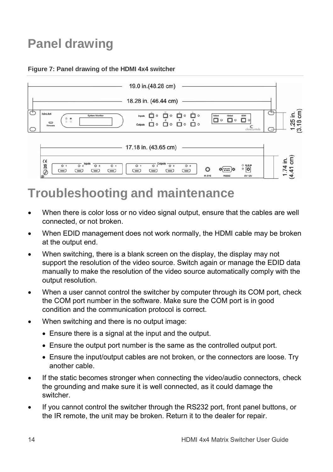# **Panel drawing**

#### **Figure 7: Panel drawing of the HDMI 4x4 switcher**



# **Troubleshooting and maintenance**

 When there is color loss or no video signal output, ensure that the cables are well connected, or not broken.

.<br>Prvi

 $782.425$ 

- When EDID management does not work normally, the HDMI cable may be broken at the output end.
- When switching, there is a blank screen on the display, the display may not support the resolution of the video source. Switch again or manage the EDID data manually to make the resolution of the video source automatically comply with the output resolution.
- When a user cannot control the switcher by computer through its COM port, check the COM port number in the software. Make sure the COM port is in good condition and the communication protocol is correct.
- When switching and there is no output image:
	- Ensure there is a signal at the input and the output.
	- Ensure the output port number is the same as the controlled output port.
	- Ensure the input/output cables are not broken, or the connectors are loose. Try another cable.
- If the static becomes stronger when connecting the video/audio connectors, check the grounding and make sure it is well connected, as it could damage the switcher.
- If you cannot control the switcher through the RS232 port, front panel buttons, or the IR remote, the unit may be broken. Return it to the dealer for repair.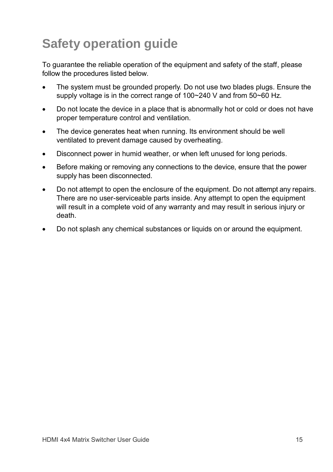# **Safety operation guide**

To guarantee the reliable operation of the equipment and safety of the staff, please follow the procedures listed below.

- The system must be grounded properly. Do not use two blades plugs. Ensure the supply voltage is in the correct range of 100~240 V and from 50~60 Hz.
- Do not locate the device in a place that is abnormally hot or cold or does not have proper temperature control and ventilation.
- The device generates heat when running. Its environment should be well ventilated to prevent damage caused by overheating.
- Disconnect power in humid weather, or when left unused for long periods.
- Before making or removing any connections to the device, ensure that the power supply has been disconnected.
- Do not attempt to open the enclosure of the equipment. Do not attempt any repairs. There are no user-serviceable parts inside. Any attempt to open the equipment will result in a complete void of any warranty and may result in serious injury or death.
- Do not splash any chemical substances or liquids on or around the equipment.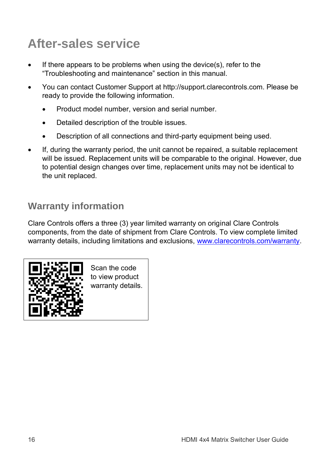# **After-sales service**

- If there appears to be problems when using the device(s), refer to the "Troubleshooting and maintenance" section in this manual.
- You can contact Customer Support at http://support.clarecontrols.com. Please be ready to provide the following information.
	- Product model number, version and serial number.
	- Detailed description of the trouble issues.
	- Description of all connections and third-party equipment being used.
- If, during the warranty period, the unit cannot be repaired, a suitable replacement will be issued. Replacement units will be comparable to the original. However, due to potential design changes over time, replacement units may not be identical to the unit replaced.

## **Warranty information**

Clare Controls offers a three (3) year limited warranty on original Clare Controls components, from the date of shipment from Clare Controls. To view complete limited warranty details, including limitations and exclusions, [www.clarecontrols.com/warranty.](http://www.clarecontrols.com/warranty)